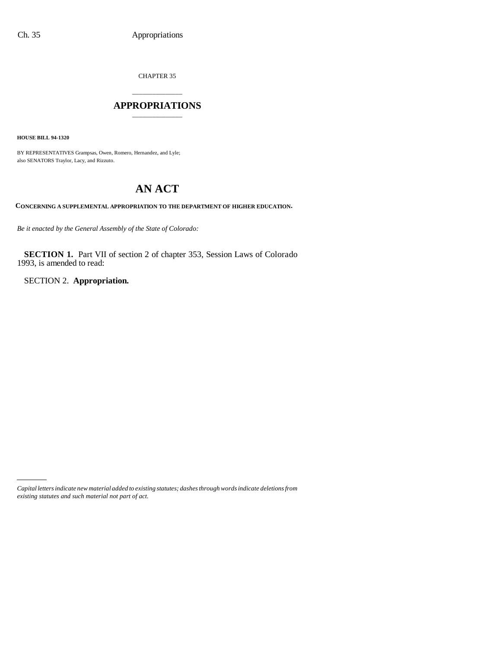CHAPTER 35

# \_\_\_\_\_\_\_\_\_\_\_\_\_\_\_ **APPROPRIATIONS** \_\_\_\_\_\_\_\_\_\_\_\_\_\_\_

**HOUSE BILL 94-1320**

BY REPRESENTATIVES Grampsas, Owen, Romero, Hernandez, and Lyle; also SENATORS Traylor, Lacy, and Rizzuto.

# **AN ACT**

**CONCERNING A SUPPLEMENTAL APPROPRIATION TO THE DEPARTMENT OF HIGHER EDUCATION.**

*Be it enacted by the General Assembly of the State of Colorado:*

**SECTION 1.** Part VII of section 2 of chapter 353, Session Laws of Colorado 1993, is amended to read:

SECTION 2. **Appropriation.**

*Capital letters indicate new material added to existing statutes; dashes through words indicate deletions from existing statutes and such material not part of act.*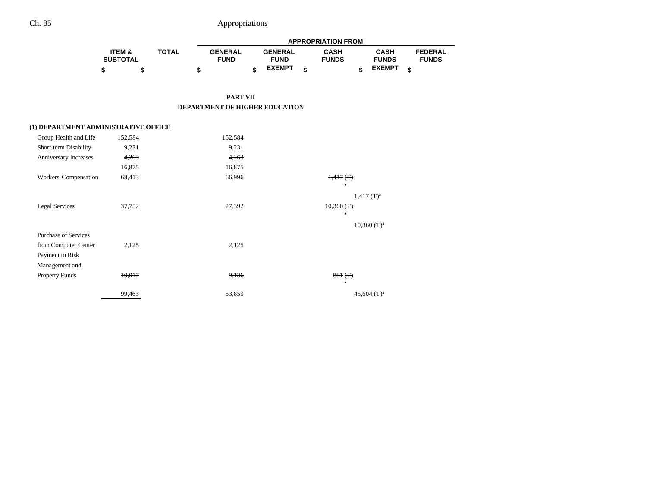|                                      |                           |              | <b>APPROPRIATION FROM</b>      |    |                               |    |                             |    |                             |    |                                |  |  |
|--------------------------------------|---------------------------|--------------|--------------------------------|----|-------------------------------|----|-----------------------------|----|-----------------------------|----|--------------------------------|--|--|
|                                      | ITEM &<br><b>SUBTOTAL</b> | <b>TOTAL</b> | <b>GENERAL</b><br><b>FUND</b>  |    | <b>GENERAL</b><br><b>FUND</b> |    | <b>CASH</b><br><b>FUNDS</b> |    | <b>CASH</b><br><b>FUNDS</b> |    | <b>FEDERAL</b><br><b>FUNDS</b> |  |  |
|                                      | \$<br>\$                  | \$           |                                | \$ | <b>EXEMPT</b>                 | \$ |                             | \$ | <b>EXEMPT</b>               | \$ |                                |  |  |
|                                      |                           |              | <b>PART VII</b>                |    |                               |    |                             |    |                             |    |                                |  |  |
|                                      |                           |              | DEPARTMENT OF HIGHER EDUCATION |    |                               |    |                             |    |                             |    |                                |  |  |
| (1) DEPARTMENT ADMINISTRATIVE OFFICE |                           |              |                                |    |                               |    |                             |    |                             |    |                                |  |  |
| Group Health and Life                | 152,584                   |              | 152,584                        |    |                               |    |                             |    |                             |    |                                |  |  |
| Short-term Disability                | 9,231                     |              | 9,231                          |    |                               |    |                             |    |                             |    |                                |  |  |
| Anniversary Increases                | 4,263                     |              | 4,263                          |    |                               |    |                             |    |                             |    |                                |  |  |
|                                      | 16,875                    |              | 16,875                         |    |                               |    |                             |    |                             |    |                                |  |  |
| Workers' Compensation                | 68,413                    |              | 66,996                         |    |                               |    | $1,417$ (T)                 |    |                             |    |                                |  |  |
|                                      |                           |              |                                |    |                               |    | $\mathbf{r}$                |    |                             |    |                                |  |  |
|                                      |                           |              |                                |    |                               |    |                             |    | $1,417$ (T) <sup>a</sup>    |    |                                |  |  |
| <b>Legal Services</b>                | 37,752                    |              | 27,392                         |    |                               |    | $10,360$ (T)                |    |                             |    |                                |  |  |
|                                      |                           |              |                                |    |                               |    | $\mathbf{r}$                |    |                             |    |                                |  |  |
|                                      |                           |              |                                |    |                               |    |                             |    | $10,360$ (T) <sup>a</sup>   |    |                                |  |  |
| <b>Purchase of Services</b>          |                           |              |                                |    |                               |    |                             |    |                             |    |                                |  |  |
| from Computer Center                 | 2,125                     |              | 2,125                          |    |                               |    |                             |    |                             |    |                                |  |  |
| Payment to Risk                      |                           |              |                                |    |                               |    |                             |    |                             |    |                                |  |  |
| Management and                       |                           |              |                                |    |                               |    |                             |    |                             |    |                                |  |  |
| <b>Property Funds</b>                | 10,017                    |              | 9,136                          |    |                               |    | 881(f)                      |    |                             |    |                                |  |  |
|                                      |                           |              |                                |    |                               |    | $\overline{a}$              |    |                             |    |                                |  |  |
|                                      | 99,463                    |              | 53,859                         |    |                               |    |                             |    | 45,604 $(T)^a$              |    |                                |  |  |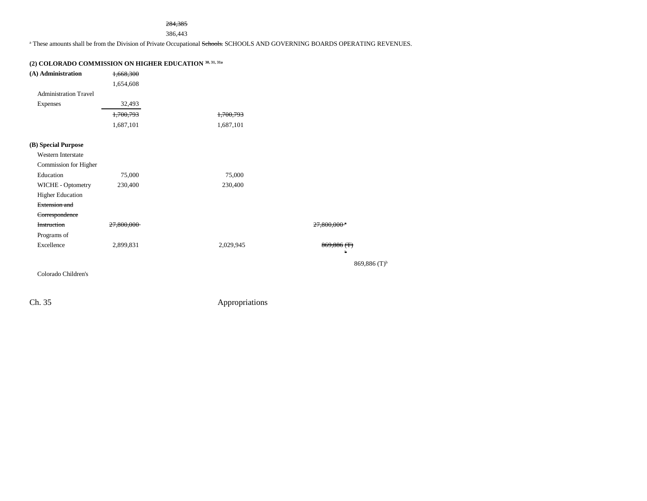#### 284,385

386,443

<sup>a</sup> These amounts shall be from the Division of Private Occupational Schools. SCHOOLS AND GOVERNING BOARDS OPERATING REVENUES.

# **(2) COLORADO COMMISSION ON HIGHER EDUCATION 30, 31, 31a**

| (A) Administration           | 1,668,300  |           |                            |
|------------------------------|------------|-----------|----------------------------|
|                              | 1,654,608  |           |                            |
| <b>Administration Travel</b> |            |           |                            |
| Expenses                     | 32,493     |           |                            |
|                              | 1,700,793  | 1,700,793 |                            |
|                              | 1,687,101  | 1,687,101 |                            |
| (B) Special Purpose          |            |           |                            |
| <b>Western Interstate</b>    |            |           |                            |
| Commission for Higher        |            |           |                            |
| Education                    | 75,000     | 75,000    |                            |
| WICHE - Optometry            | 230,400    | 230,400   |                            |
| <b>Higher Education</b>      |            |           |                            |
| Extension and                |            |           |                            |
| Correspondence               |            |           |                            |
| Instruction                  | 27,800,000 |           | $27,800,000$ <sup>*</sup>  |
| Programs of                  |            |           |                            |
| Excellence                   | 2,899,831  | 2,029,945 | 869,886(f)<br>h            |
|                              |            |           | $869,886$ (T) <sup>b</sup> |
| Colorado Children's          |            |           |                            |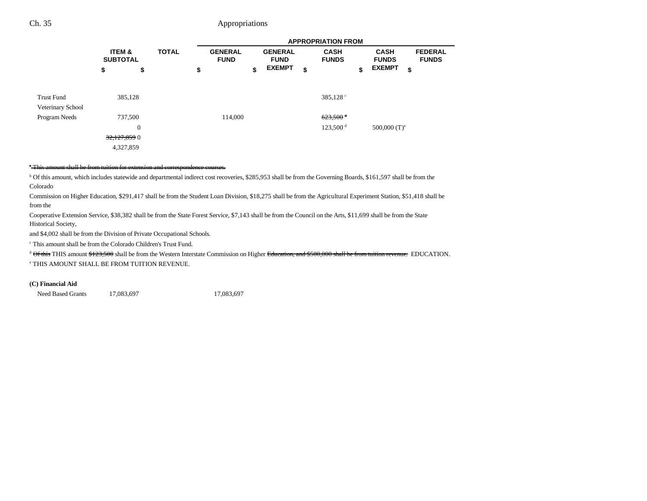|                                 |                                                          |              |                               |                               | <b>APPROPRIATION FROM</b>                      |                             |                                |
|---------------------------------|----------------------------------------------------------|--------------|-------------------------------|-------------------------------|------------------------------------------------|-----------------------------|--------------------------------|
|                                 | <b>ITEM &amp;</b><br><b>SUBTOTAL</b>                     | <b>TOTAL</b> | <b>GENERAL</b><br><b>FUND</b> | <b>GENERAL</b><br><b>FUND</b> | <b>CASH</b><br><b>FUNDS</b>                    | <b>CASH</b><br><b>FUNDS</b> | <b>FEDERAL</b><br><b>FUNDS</b> |
|                                 | \$<br>\$                                                 |              | \$                            | \$<br><b>EXEMPT</b>           | \$                                             | \$<br><b>EXEMPT</b>         | \$                             |
| Trust Fund<br>Veterinary School | 385,128                                                  |              |                               |                               | 385,128 <sup>c</sup>                           |                             |                                |
| Program Needs                   | 737,500<br>$\boldsymbol{0}$<br>32,127,859 0<br>4,327,859 |              | 114,000                       |                               | $623,500$ <sup>d</sup><br>123,500 <sup>d</sup> | 500,000 $(T)^e$             |                                |

#### a This amount shall be from tuition for extension and correspondence courses.

<sup>b</sup> Of this amount, which includes statewide and departmental indirect cost recoveries, \$285,953 shall be from the Governing Boards, \$161,597 shall be from the Colorado

Commission on Higher Education, \$291,417 shall be from the Student Loan Division, \$18,275 shall be from the Agricultural Experiment Station, \$51,418 shall be from the

Cooperative Extension Service, \$38,382 shall be from the State Forest Service, \$7,143 shall be from the Council on the Arts, \$11,699 shall be from the State Historical Society,

and \$4,002 shall be from the Division of Private Occupational Schools.

c This amount shall be from the Colorado Children's Trust Fund.

<sup>d</sup> Of this THIS amount \$123,500 shall be from the Western Interstate Commission on Higher Education, and \$500,000 shall be from tuition revenue. EDUCATION.

e THIS AMOUNT SHALL BE FROM TUITION REVENUE.

#### **(C) Financial Aid**

Need Based Grants 17,083,697 17,083,697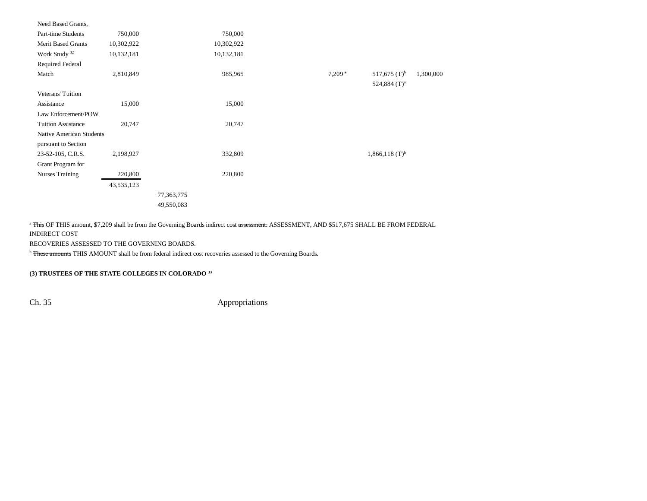| Need Based Grants,              |            |            |            |                    |                              |           |
|---------------------------------|------------|------------|------------|--------------------|------------------------------|-----------|
| Part-time Students              | 750,000    |            | 750,000    |                    |                              |           |
| Merit Based Grants              | 10,302,922 |            | 10,302,922 |                    |                              |           |
| Work Study <sup>32</sup>        | 10,132,181 |            | 10,132,181 |                    |                              |           |
| <b>Required Federal</b>         |            |            |            |                    |                              |           |
| Match                           | 2,810,849  |            | 985,965    | $7,209$ $^{\circ}$ | $517,675$ (T) <sup>b</sup>   | 1,300,000 |
|                                 |            |            |            |                    | 524,884 $(T)^a$              |           |
| <b>Veterans' Tuition</b>        |            |            |            |                    |                              |           |
| Assistance                      | 15,000     |            | 15,000     |                    |                              |           |
| Law Enforcement/POW             |            |            |            |                    |                              |           |
| <b>Tuition Assistance</b>       | 20,747     |            | 20,747     |                    |                              |           |
| <b>Native American Students</b> |            |            |            |                    |                              |           |
| pursuant to Section             |            |            |            |                    |                              |           |
| 23-52-105, C.R.S.               | 2,198,927  |            | 332,809    |                    | $1,866,118$ (T) <sup>b</sup> |           |
| Grant Program for               |            |            |            |                    |                              |           |
| <b>Nurses Training</b>          | 220,800    |            | 220,800    |                    |                              |           |
|                                 | 43,535,123 |            |            |                    |                              |           |
|                                 |            | 77,363,775 |            |                    |                              |           |
|                                 |            | 49,550,083 |            |                    |                              |           |

<sup>a</sup> This OF THIS amount, \$7,209 shall be from the Governing Boards indirect cost assessment. ASSESSMENT, AND \$517,675 SHALL BE FROM FEDERAL INDIRECT COST

RECOVERIES ASSESSED TO THE GOVERNING BOARDS.

<sup>b</sup> These amounts THIS AMOUNT shall be from federal indirect cost recoveries assessed to the Governing Boards.

### **(3) TRUSTEES OF THE STATE COLLEGES IN COLORADO 33**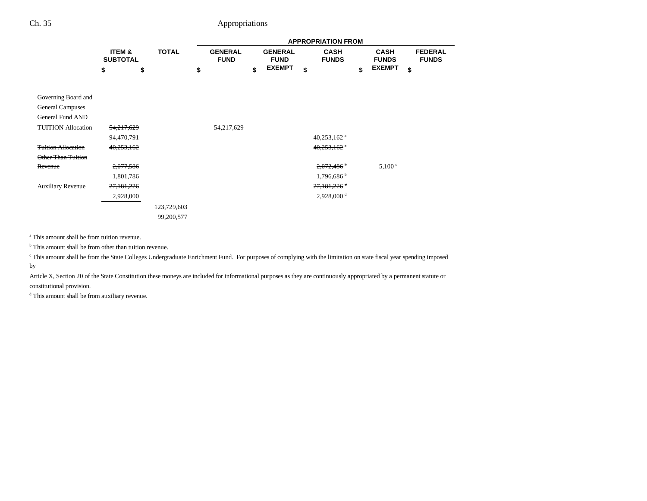|                           |            | <b>TOTAL</b><br>ITEM &<br><b>SUBTOTAL</b> |             |                               |                               | <b>APPROPRIATION FROM</b>   |                             |                                |
|---------------------------|------------|-------------------------------------------|-------------|-------------------------------|-------------------------------|-----------------------------|-----------------------------|--------------------------------|
|                           |            |                                           |             | <b>GENERAL</b><br><b>FUND</b> | <b>GENERAL</b><br><b>FUND</b> | <b>CASH</b><br><b>FUNDS</b> | <b>CASH</b><br><b>FUNDS</b> | <b>FEDERAL</b><br><b>FUNDS</b> |
|                           | \$         | \$                                        |             | \$                            | \$<br><b>EXEMPT</b>           | \$                          | \$<br><b>EXEMPT</b>         | \$                             |
| Governing Board and       |            |                                           |             |                               |                               |                             |                             |                                |
| <b>General Campuses</b>   |            |                                           |             |                               |                               |                             |                             |                                |
| General Fund AND          |            |                                           |             |                               |                               |                             |                             |                                |
| <b>TUITION Allocation</b> | 54,217,629 |                                           |             | 54,217,629                    |                               |                             |                             |                                |
|                           | 94,470,791 |                                           |             |                               |                               | 40,253,162 $a$              |                             |                                |
| <b>Tuition Allocation</b> | 40,253,162 |                                           |             |                               |                               | $40,253,162$ $\degree$      |                             |                                |
| Other Than Tuition        |            |                                           |             |                               |                               |                             |                             |                                |
| Revenue                   | 2,077,586  |                                           |             |                               |                               | $2,072,486$ <sup>b</sup>    | 5,100 °                     |                                |
|                           | 1,801,786  |                                           |             |                               |                               | 1,796,686                   |                             |                                |
| <b>Auxiliary Revenue</b>  | 27,181,226 |                                           |             |                               |                               | $27,181,226$ <sup>d</sup>   |                             |                                |
|                           | 2,928,000  |                                           |             |                               |                               | $2,928,000$ <sup>d</sup>    |                             |                                |
|                           |            |                                           | 123,729,603 |                               |                               |                             |                             |                                |
|                           |            |                                           | 99,200,577  |                               |                               |                             |                             |                                |

a This amount shall be from tuition revenue.

<sup>b</sup> This amount shall be from other than tuition revenue.

c This amount shall be from the State Colleges Undergraduate Enrichment Fund. For purposes of complying with the limitation on state fiscal year spending imposed by

Article X, Section 20 of the State Constitution these moneys are included for informational purposes as they are continuously appropriated by a permanent statute or constitutional provision.

d This amount shall be from auxiliary revenue.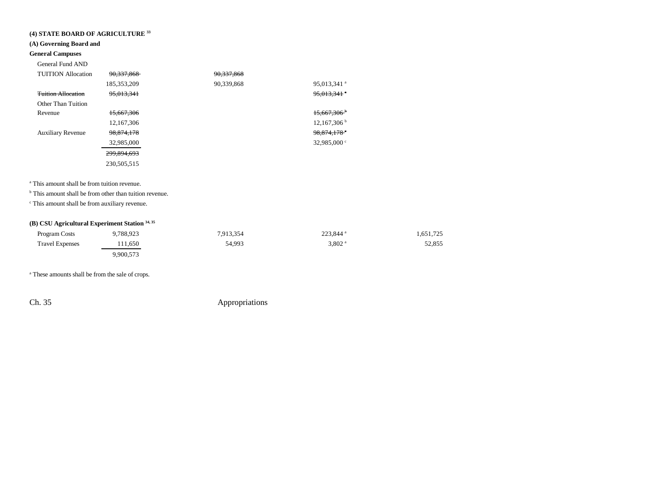# **(4) STATE BOARD OF AGRICULTURE 33**

### **(A) Governing Board and**

# **General Campuses**

General Fund AND

| <b>TUITION</b> Allocation | 90,337,868    | 90,337,868 |                         |
|---------------------------|---------------|------------|-------------------------|
|                           | 185, 353, 209 | 90,339,868 | 95,013,341 <sup>a</sup> |
| <b>Tuition Allocation</b> | 95,013,341    |            | $95,013,341$ $^{\circ}$ |
| Other Than Tuition        |               |            |                         |
| Revenue                   | 15.667.306    |            | $15.667.306^{\circ}$    |
|                           | 12, 167, 306  |            | 12,167,306 <sup>b</sup> |
| <b>Auxiliary Revenue</b>  | 98,874,178    |            | 98,874,178 <sup>c</sup> |
|                           | 32,985,000    |            | 32,985,000 $\degree$    |
|                           | 299,894,693   |            |                         |
|                           | 230,505,515   |            |                         |

a This amount shall be from tuition revenue.

<sup>b</sup> This amount shall be from other than tuition revenue.

c This amount shall be from auxiliary revenue.

### **(B) CSU Agricultural Experiment Station 34, 35**

| Program Costs          | 9,788,923 | 7,913,354 | 223,844 <sup>a</sup> | 1,651,725 |
|------------------------|-----------|-----------|----------------------|-----------|
| <b>Travel Expenses</b> | 111.650   | 54,993    | $3,802$ <sup>a</sup> | 52,855    |
|                        | 9,900,573 |           |                      |           |

<sup>a</sup> These amounts shall be from the sale of crops.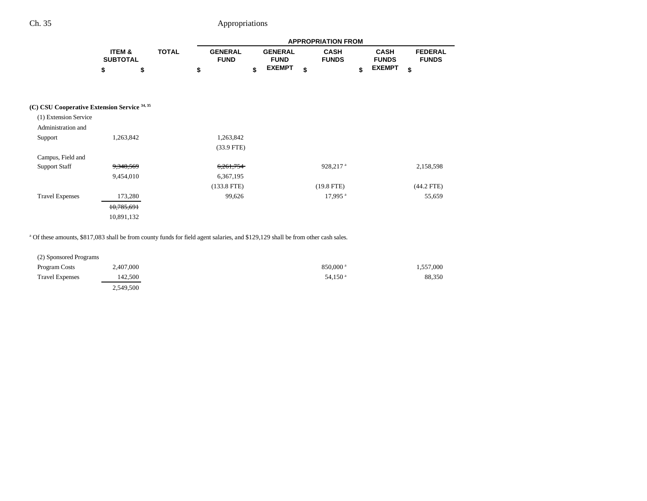|                                              |            |                 |  |    | <b>APPROPRIATION FROM</b>     |    |                               |    |                             |    |                             |    |                                |  |
|----------------------------------------------|------------|-----------------|--|----|-------------------------------|----|-------------------------------|----|-----------------------------|----|-----------------------------|----|--------------------------------|--|
|                                              | ITEM &     | <b>SUBTOTAL</b> |  |    | <b>GENERAL</b><br><b>FUND</b> |    | <b>GENERAL</b><br><b>FUND</b> |    | <b>CASH</b><br><b>FUNDS</b> |    | <b>CASH</b><br><b>FUNDS</b> |    | <b>FEDERAL</b><br><b>FUNDS</b> |  |
|                                              | \$         | \$              |  | \$ |                               | \$ | <b>EXEMPT</b>                 | \$ |                             | \$ | <b>EXEMPT</b>               | \$ |                                |  |
|                                              |            |                 |  |    |                               |    |                               |    |                             |    |                             |    |                                |  |
|                                              |            |                 |  |    |                               |    |                               |    |                             |    |                             |    |                                |  |
| (C) CSU Cooperative Extension Service 34, 35 |            |                 |  |    |                               |    |                               |    |                             |    |                             |    |                                |  |
| (1) Extension Service                        |            |                 |  |    |                               |    |                               |    |                             |    |                             |    |                                |  |
| Administration and                           |            |                 |  |    |                               |    |                               |    |                             |    |                             |    |                                |  |
| Support                                      | 1,263,842  |                 |  |    | 1,263,842                     |    |                               |    |                             |    |                             |    |                                |  |
|                                              |            |                 |  |    | $(33.9$ FTE)                  |    |                               |    |                             |    |                             |    |                                |  |
| Campus, Field and                            |            |                 |  |    |                               |    |                               |    |                             |    |                             |    |                                |  |
| <b>Support Staff</b>                         | 9,348,569  |                 |  |    | 6,261,754                     |    |                               |    | 928,217 <sup>a</sup>        |    |                             |    | 2,158,598                      |  |
|                                              | 9,454,010  |                 |  |    | 6,367,195                     |    |                               |    |                             |    |                             |    |                                |  |
|                                              |            |                 |  |    | $(133.8$ FTE)                 |    |                               |    | $(19.8$ FTE)                |    |                             |    | $(44.2$ FTE)                   |  |
| <b>Travel Expenses</b>                       | 173,280    |                 |  |    | 99,626                        |    |                               |    | $17,995$ <sup>a</sup>       |    |                             |    | 55,659                         |  |
|                                              | 10,785,691 |                 |  |    |                               |    |                               |    |                             |    |                             |    |                                |  |
|                                              | 10,891,132 |                 |  |    |                               |    |                               |    |                             |    |                             |    |                                |  |

<sup>a</sup> Of these amounts, \$817,083 shall be from county funds for field agent salaries, and \$129,129 shall be from other cash sales.

| (2) Sponsored Programs |           |                        |           |
|------------------------|-----------|------------------------|-----------|
| <b>Program Costs</b>   | 2,407,000 | $850,000$ <sup>a</sup> | 1,557,000 |
| <b>Travel Expenses</b> | 142.500   | $54.150$ <sup>a</sup>  | 88,350    |
|                        | 2,549,500 |                        |           |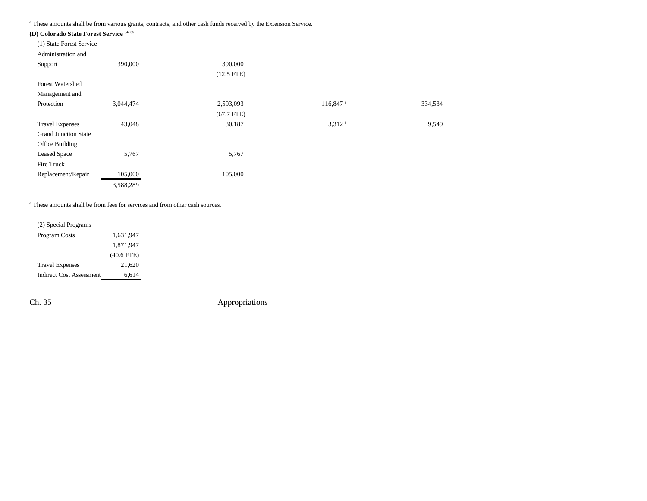a These amounts shall be from various grants, contracts, and other cash funds received by the Extension Service.

| (D) Colorado State Forest Service 34, 35 |           |              |                      |         |
|------------------------------------------|-----------|--------------|----------------------|---------|
| (1) State Forest Service                 |           |              |                      |         |
| Administration and                       |           |              |                      |         |
| Support                                  | 390,000   | 390,000      |                      |         |
|                                          |           | $(12.5$ FTE) |                      |         |
| <b>Forest Watershed</b>                  |           |              |                      |         |
| Management and                           |           |              |                      |         |
| Protection                               | 3,044,474 | 2,593,093    | 116,847 <sup>a</sup> | 334,534 |
|                                          |           | $(67.7$ FTE) |                      |         |
| <b>Travel Expenses</b>                   | 43,048    | 30,187       | $3.312$ <sup>a</sup> | 9,549   |
| <b>Grand Junction State</b>              |           |              |                      |         |
| Office Building                          |           |              |                      |         |
| <b>Leased Space</b>                      | 5,767     | 5,767        |                      |         |
| Fire Truck                               |           |              |                      |         |
| Replacement/Repair                       | 105,000   | 105,000      |                      |         |
|                                          | 3,588,289 |              |                      |         |

a These amounts shall be from fees for services and from other cash sources.

| (2) Special Programs     |                      |
|--------------------------|----------------------|
| <b>Program Costs</b>     | <del>1.631.947</del> |
|                          | 1,871,947            |
|                          | $(40.6$ FTE)         |
| <b>Travel Expenses</b>   | 21,620               |
| Indirect Cost Assessment | 6.614                |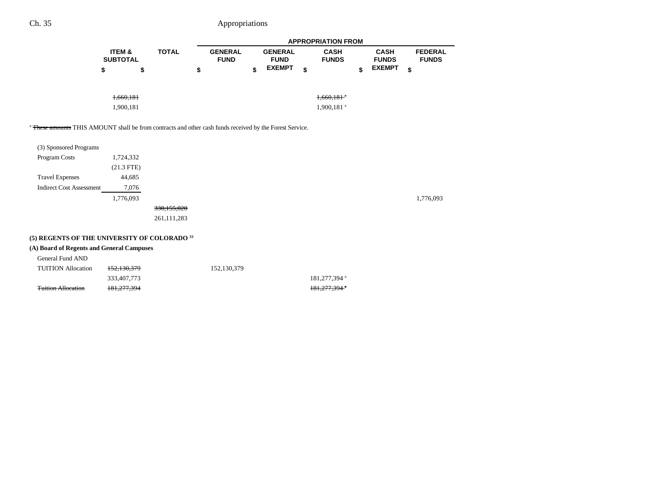|                                      |   |              | <b>APPROPRIATION FROM</b>     |    |                               |    |                             |    |                             |                                |  |  |
|--------------------------------------|---|--------------|-------------------------------|----|-------------------------------|----|-----------------------------|----|-----------------------------|--------------------------------|--|--|
| <b>ITEM &amp;</b><br><b>SUBTOTAL</b> |   | <b>TOTAL</b> | <b>GENERAL</b><br><b>FUND</b> |    | <b>GENERAL</b><br><b>FUND</b> |    | <b>CASH</b><br><b>FUNDS</b> |    | <b>CASH</b><br><b>FUNDS</b> | <b>FEDERAL</b><br><b>FUNDS</b> |  |  |
| \$                                   | S |              | \$                            | \$ | <b>EXEMPT</b>                 | \$ |                             | \$ | <b>EXEMPT</b>               | \$                             |  |  |
| 1,660,181                            |   |              |                               |    |                               |    | $1,660,181$ <sup>a</sup>    |    |                             |                                |  |  |
| 1,900,181                            |   |              |                               |    |                               |    | 1,900,181 <sup>a</sup>      |    |                             |                                |  |  |

<sup>a</sup> These amounts THIS AMOUNT shall be from contracts and other cash funds received by the Forest Service.

| (3) Sponsored Programs          |              |             |           |
|---------------------------------|--------------|-------------|-----------|
| Program Costs                   | 1,724,332    |             |           |
|                                 | $(21.3$ FTE) |             |           |
| <b>Travel Expenses</b>          | 44,685       |             |           |
| <b>Indirect Cost Assessment</b> | 7,076        |             |           |
|                                 | 1,776,093    |             | 1,776,093 |
|                                 |              | 330,155,020 |           |
|                                 |              | 261,111,283 |           |
|                                 |              |             |           |

# **(5) REGENTS OF THE UNIVERSITY OF COLORADO 33**

### **(A) Board of Regents and General Campuses**

| General Fund AND          |                        |             |               |
|---------------------------|------------------------|-------------|---------------|
| <b>TUITION</b> Allocation | <del>152.130.379</del> | 152,130,379 |               |
|                           | 333.407.773            |             | 181.277.394 a |
| <b>Tuition Allocation</b> | <del>181,277,394</del> |             | 181.277.394   |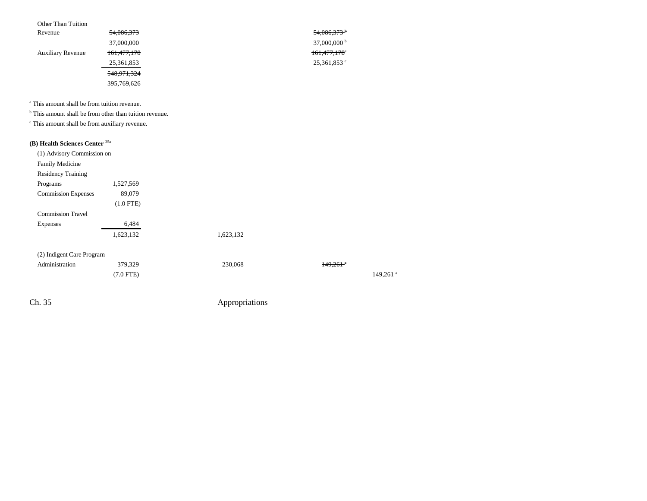| Other Than Tuition       |               |                           |
|--------------------------|---------------|---------------------------|
| Revenue                  | 54,086,373    | $54,086,373$ <sup>b</sup> |
|                          | 37,000,000    | 37,000,000 $^{\rm b}$     |
| <b>Auxiliary Revenue</b> | 161,477,178   | 161,477,178°              |
|                          | 25,361,853    | $25,361,853$ °            |
|                          | 548, 971, 324 |                           |
|                          | 395,769,626   |                           |
|                          |               |                           |

a This amount shall be from tuition revenue.

<sup>b</sup> This amount shall be from other than tuition revenue.

c This amount shall be from auxiliary revenue.

# **(B) Health Sciences Center** 35a

| (1) Advisory Commission on |             |           |                        |
|----------------------------|-------------|-----------|------------------------|
| <b>Family Medicine</b>     |             |           |                        |
| <b>Residency Training</b>  |             |           |                        |
| Programs                   | 1,527,569   |           |                        |
| <b>Commission Expenses</b> | 89,079      |           |                        |
|                            | $(1.0$ FTE) |           |                        |
| <b>Commission Travel</b>   |             |           |                        |
| Expenses                   | 6,484       |           |                        |
|                            | 1,623,132   | 1,623,132 |                        |
| (2) Indigent Care Program  |             |           |                        |
| Administration             | 379,329     | 230,068   | $149.261$ <sup>a</sup> |
|                            | $(7.0$ FTE) |           | $149,261$ <sup>a</sup> |
|                            |             |           |                        |
|                            |             |           |                        |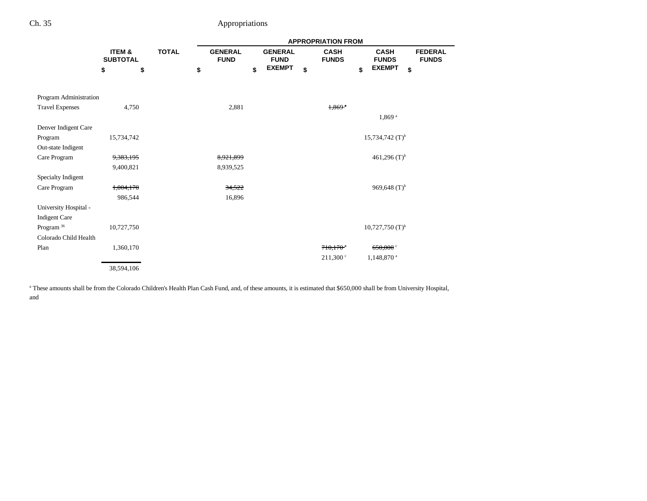|                        |                           |              | <b>APPROPRIATION FROM</b>     |                               |                             |                               |                                |  |  |  |
|------------------------|---------------------------|--------------|-------------------------------|-------------------------------|-----------------------------|-------------------------------|--------------------------------|--|--|--|
|                        | ITEM &<br><b>SUBTOTAL</b> | <b>TOTAL</b> | <b>GENERAL</b><br><b>FUND</b> | <b>GENERAL</b><br><b>FUND</b> | <b>CASH</b><br><b>FUNDS</b> | <b>CASH</b><br><b>FUNDS</b>   | <b>FEDERAL</b><br><b>FUNDS</b> |  |  |  |
|                        | \$<br>\$                  |              | \$                            | <b>EXEMPT</b><br>\$           | \$                          | <b>EXEMPT</b><br>\$<br>\$     |                                |  |  |  |
|                        |                           |              |                               |                               |                             |                               |                                |  |  |  |
| Program Administration |                           |              |                               |                               |                             |                               |                                |  |  |  |
| <b>Travel Expenses</b> | 4,750                     |              | 2,881                         |                               | $1,869$ <sup>a</sup>        |                               |                                |  |  |  |
|                        |                           |              |                               |                               |                             | 1,869 <sup>a</sup>            |                                |  |  |  |
| Denver Indigent Care   |                           |              |                               |                               |                             |                               |                                |  |  |  |
| Program                | 15,734,742                |              |                               |                               |                             | $15,734,742$ (T) <sup>b</sup> |                                |  |  |  |
| Out-state Indigent     |                           |              |                               |                               |                             |                               |                                |  |  |  |
| Care Program           | 9,383,195                 |              | 8,921,899                     |                               |                             | 461,296 $(T)^{b}$             |                                |  |  |  |
|                        | 9,400,821                 |              | 8,939,525                     |                               |                             |                               |                                |  |  |  |
| Specialty Indigent     |                           |              |                               |                               |                             |                               |                                |  |  |  |
| Care Program           | 1,004,170                 |              | 34,522                        |                               |                             | 969,648 $(T)^{b}$             |                                |  |  |  |
|                        | 986,544                   |              | 16,896                        |                               |                             |                               |                                |  |  |  |
| University Hospital -  |                           |              |                               |                               |                             |                               |                                |  |  |  |
| <b>Indigent Care</b>   |                           |              |                               |                               |                             |                               |                                |  |  |  |
| Program <sup>36</sup>  | 10,727,750                |              |                               |                               |                             | $10,727,750$ $(T)^{b}$        |                                |  |  |  |
| Colorado Child Health  |                           |              |                               |                               |                             |                               |                                |  |  |  |
| Plan                   | 1,360,170                 |              |                               |                               | $710,170$ <sup>a</sup>      | $650,000$ °                   |                                |  |  |  |
|                        |                           |              |                               |                               | 211,300°                    | 1,148,870 <sup>a</sup>        |                                |  |  |  |
|                        | 38,594,106                |              |                               |                               |                             |                               |                                |  |  |  |

<sup>a</sup> These amounts shall be from the Colorado Children's Health Plan Cash Fund, and, of these amounts, it is estimated that \$650,000 shall be from University Hospital, and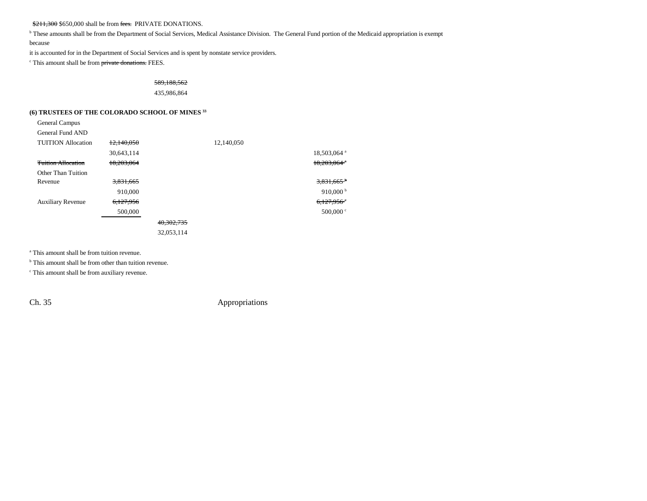\$211,300 \$650,000 shall be from fees. PRIVATE DONATIONS.

<sup>b</sup> These amounts shall be from the Department of Social Services, Medical Assistance Division. The General Fund portion of the Medicaid appropriation is exempt because

it is accounted for in the Department of Social Services and is spent by nonstate service providers.

<sup>c</sup> This amount shall be from private donations. FEES.

#### 589,188,562 435,986,864

#### **(6) TRUSTEES OF THE COLORADO SCHOOL OF MINES 33**

| General Campus            |            |            |            |                           |
|---------------------------|------------|------------|------------|---------------------------|
| General Fund AND          |            |            |            |                           |
| <b>TUITION Allocation</b> | 12,140,050 |            | 12,140,050 |                           |
|                           | 30,643,114 |            |            | 18,503,064 <sup>a</sup>   |
| <b>Tuition Allocation</b> | 18,203,064 |            |            | $18.203.064$ <sup>*</sup> |
| Other Than Tuition        |            |            |            |                           |
| Revenue                   | 3,831,665  |            |            | $3,831,665$ <sup>b</sup>  |
|                           | 910,000    |            |            | 910,000 $^{\rm b}$        |
| <b>Auxiliary Revenue</b>  | 6,127,956  |            |            | $6,127,956$ <sup>c</sup>  |
|                           | 500,000    |            |            | $500,000$ $\circ$         |
|                           |            | 40.302.735 |            |                           |
|                           |            | 32,053,114 |            |                           |

a This amount shall be from tuition revenue.

<sup>b</sup> This amount shall be from other than tuition revenue.

c This amount shall be from auxiliary revenue.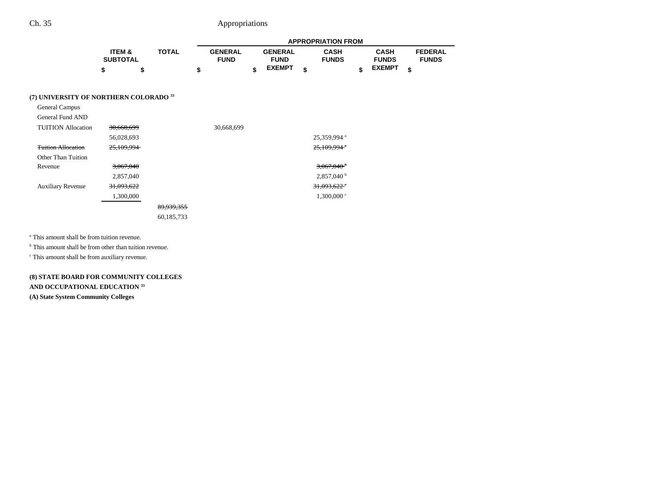|                                        |                           |              |    | <b>APPROPRIATION FROM</b>     |    |                               |    |                             |    |                             |    |                                |
|----------------------------------------|---------------------------|--------------|----|-------------------------------|----|-------------------------------|----|-----------------------------|----|-----------------------------|----|--------------------------------|
|                                        | ITEM &<br><b>SUBTOTAL</b> | <b>TOTAL</b> |    | <b>GENERAL</b><br><b>FUND</b> |    | <b>GENERAL</b><br><b>FUND</b> |    | <b>CASH</b><br><b>FUNDS</b> |    | <b>CASH</b><br><b>FUNDS</b> |    | <b>FEDERAL</b><br><b>FUNDS</b> |
|                                        | \$                        | \$           | \$ |                               | \$ | <b>EXEMPT</b>                 | \$ |                             | \$ | <b>EXEMPT</b>               | \$ |                                |
| (7) UNIVERSITY OF NORTHERN COLORADO 33 |                           |              |    |                               |    |                               |    |                             |    |                             |    |                                |
| General Campus                         |                           |              |    |                               |    |                               |    |                             |    |                             |    |                                |
| General Fund AND                       |                           |              |    |                               |    |                               |    |                             |    |                             |    |                                |
| <b>TUITION Allocation</b>              | 30,668,699                |              |    | 30,668,699                    |    |                               |    |                             |    |                             |    |                                |
|                                        | 56,028,693                |              |    |                               |    |                               |    | 25,359,994 <sup>a</sup>     |    |                             |    |                                |
| <b>Tuition Allocation</b>              | 25,109,994                |              |    |                               |    |                               |    | $25,109,994$ <sup>*</sup>   |    |                             |    |                                |
| Other Than Tuition                     |                           |              |    |                               |    |                               |    |                             |    |                             |    |                                |
| Revenue                                | <del>3,067,040</del>      |              |    |                               |    |                               |    | $3,067,040$ <sup>b</sup>    |    |                             |    |                                |
|                                        | 2,857,040                 |              |    |                               |    |                               |    | $2,857,040^{\mathrm{b}}$    |    |                             |    |                                |
| <b>Auxiliary Revenue</b>               | 31,093,622                |              |    |                               |    |                               |    | $31,093,622$ <sup>e</sup>   |    |                             |    |                                |
|                                        | 1,300,000                 |              |    |                               |    |                               |    | $1,300,000$ c               |    |                             |    |                                |
|                                        |                           | 89,939,355   |    |                               |    |                               |    |                             |    |                             |    |                                |
|                                        |                           | 60,185,733   |    |                               |    |                               |    |                             |    |                             |    |                                |

a This amount shall be from tuition revenue.

<sup>b</sup> This amount shall be from other than tuition revenue.

 $^{\circ}$  This amount shall be from auxiliary revenue.

### **(8) STATE BOARD FOR COMMUNITY COLLEGES AND OCCUPATIONAL EDUCATION <sup>33</sup>**

**(A) State System Community Colleges**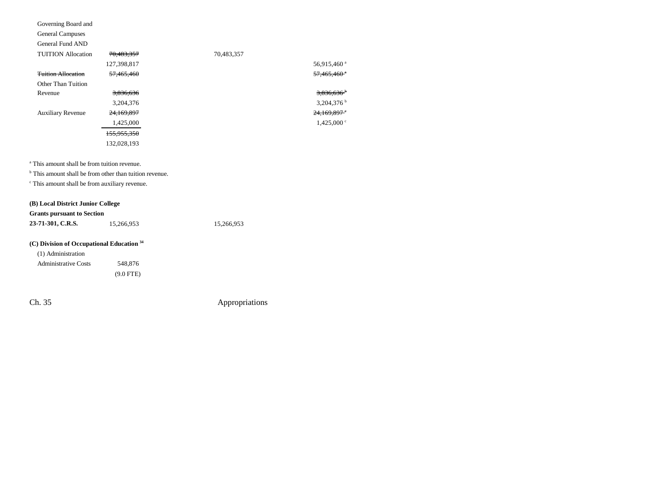| Governing Board and       |                        |            |                           |
|---------------------------|------------------------|------------|---------------------------|
| <b>General Campuses</b>   |                        |            |                           |
| General Fund AND          |                        |            |                           |
| <b>TUITION Allocation</b> | 70,483,357             | 70,483,357 |                           |
|                           | 127,398,817            |            | 56,915,460 <sup>a</sup>   |
| <b>Tuition Allocation</b> | 57,465,460             |            | $57.465.460$ <sup>*</sup> |
| Other Than Tuition        |                        |            |                           |
| Revenue                   | 3,836,636              |            | $3,836,636$ <sup>b</sup>  |
|                           | 3,204,376              |            | 3,204,376 $^{\rm b}$      |
| <b>Auxiliary Revenue</b>  | 24,169,897             |            | $24.169.897$ <sup>c</sup> |
|                           | 1,425,000              |            | $1,425,000$ °             |
|                           | <del>155,955,350</del> |            |                           |
|                           | 132,028,193            |            |                           |
|                           |                        |            |                           |

a This amount shall be from tuition revenue.

<sup>b</sup> This amount shall be from other than tuition revenue.

c This amount shall be from auxiliary revenue.

### **(B) Local District Junior College**

| <b>Grants pursuant to Section</b> |            |            |
|-----------------------------------|------------|------------|
| 23-71-301, C.R.S.                 | 15.266.953 | 15.266.953 |

### **(C) Division of Occupational Education 34**

| (1) Administration          |             |
|-----------------------------|-------------|
| <b>Administrative Costs</b> | 548,876     |
|                             | $(9.0$ FTE) |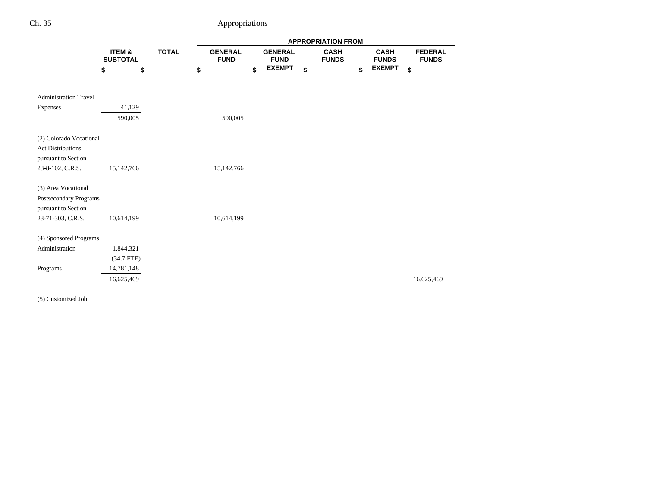|                                                     |                           |              | <b>APPROPRIATION FROM</b>     |    |                               |    |                             |    |                             |    |                                |
|-----------------------------------------------------|---------------------------|--------------|-------------------------------|----|-------------------------------|----|-----------------------------|----|-----------------------------|----|--------------------------------|
|                                                     | ITEM &<br><b>SUBTOTAL</b> | <b>TOTAL</b> | <b>GENERAL</b><br><b>FUND</b> |    | <b>GENERAL</b><br><b>FUND</b> |    | <b>CASH</b><br><b>FUNDS</b> |    | <b>CASH</b><br><b>FUNDS</b> |    | <b>FEDERAL</b><br><b>FUNDS</b> |
|                                                     | \$<br>\$                  | \$           |                               | \$ | <b>EXEMPT</b>                 | \$ |                             | \$ | <b>EXEMPT</b>               | \$ |                                |
|                                                     |                           |              |                               |    |                               |    |                             |    |                             |    |                                |
| <b>Administration Travel</b>                        |                           |              |                               |    |                               |    |                             |    |                             |    |                                |
| Expenses                                            | 41,129                    |              |                               |    |                               |    |                             |    |                             |    |                                |
|                                                     | 590,005                   |              | 590,005                       |    |                               |    |                             |    |                             |    |                                |
|                                                     |                           |              |                               |    |                               |    |                             |    |                             |    |                                |
| (2) Colorado Vocational<br><b>Act Distributions</b> |                           |              |                               |    |                               |    |                             |    |                             |    |                                |
| pursuant to Section                                 |                           |              |                               |    |                               |    |                             |    |                             |    |                                |
| 23-8-102, C.R.S.                                    | 15,142,766                |              | 15,142,766                    |    |                               |    |                             |    |                             |    |                                |
|                                                     |                           |              |                               |    |                               |    |                             |    |                             |    |                                |
| (3) Area Vocational                                 |                           |              |                               |    |                               |    |                             |    |                             |    |                                |
| Postsecondary Programs                              |                           |              |                               |    |                               |    |                             |    |                             |    |                                |
| pursuant to Section<br>23-71-303, C.R.S.            | 10,614,199                |              | 10,614,199                    |    |                               |    |                             |    |                             |    |                                |
|                                                     |                           |              |                               |    |                               |    |                             |    |                             |    |                                |
| (4) Sponsored Programs                              |                           |              |                               |    |                               |    |                             |    |                             |    |                                |
| Administration                                      | 1,844,321                 |              |                               |    |                               |    |                             |    |                             |    |                                |
|                                                     | $(34.7$ FTE)              |              |                               |    |                               |    |                             |    |                             |    |                                |
| Programs                                            | 14,781,148                |              |                               |    |                               |    |                             |    |                             |    |                                |
|                                                     | 16,625,469                |              |                               |    |                               |    |                             |    |                             |    | 16,625,469                     |

(5) Customized Job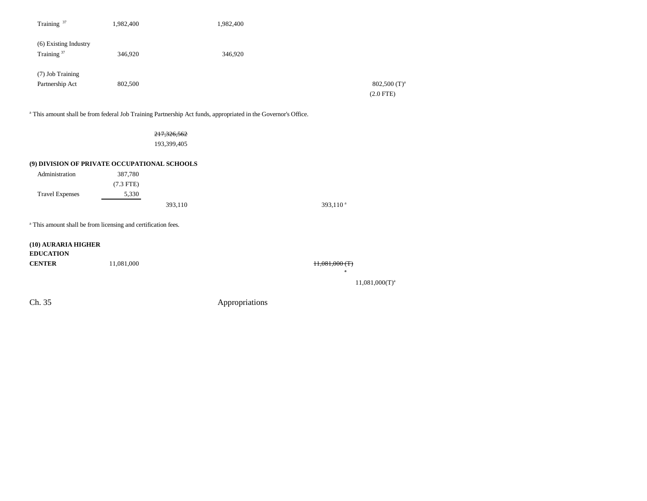| Training <sup>37</sup>                          | 1,982,400 | 1,982,400 |                                           |
|-------------------------------------------------|-----------|-----------|-------------------------------------------|
| (6) Existing Industry<br>Training <sup>37</sup> | 346,920   | 346,920   |                                           |
| (7) Job Training<br>Partnership Act             | 802,500   |           | $802,500$ (T) <sup>a</sup><br>$(2.0$ FTE) |

<sup>a</sup> This amount shall be from federal Job Training Partnership Act funds, appropriated in the Governor's Office.

217,326,562 193,399,405

#### **(9) DIVISION OF PRIVATE OCCUPATIONAL SCHOOLS**

| 387,780     |         |                        |
|-------------|---------|------------------------|
| $(7.3$ FTE) |         |                        |
| 5,330       |         |                        |
|             | 393,110 | $393,110$ <sup>a</sup> |
|             |         |                        |

<sup>a</sup> This amount shall be from licensing and certification fees.

| (10) AURARIA HIGHER<br><b>EDUCATION</b> |            |                              |                     |
|-----------------------------------------|------------|------------------------------|---------------------|
| <b>CENTER</b>                           | 11,081,000 | H,081,000(T)<br>$\mathbf{a}$ |                     |
|                                         |            |                              | $11,081,000(T)^{a}$ |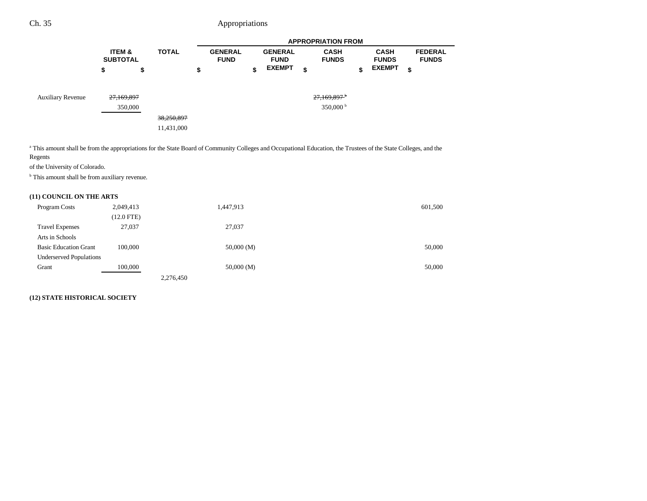|                          |                                      |              |            | <b>APPROPRIATION FROM</b> |  |    |                               |    |                               |    |                             |    |                             |  |                                |
|--------------------------|--------------------------------------|--------------|------------|---------------------------|--|----|-------------------------------|----|-------------------------------|----|-----------------------------|----|-----------------------------|--|--------------------------------|
|                          | <b>ITEM &amp;</b><br><b>SUBTOTAL</b> | <b>TOTAL</b> |            |                           |  |    | <b>GENERAL</b><br><b>FUND</b> |    | <b>GENERAL</b><br><b>FUND</b> |    | <b>CASH</b><br><b>FUNDS</b> |    | <b>CASH</b><br><b>FUNDS</b> |  | <b>FEDERAL</b><br><b>FUNDS</b> |
|                          | \$                                   | \$           |            | \$                        |  | \$ | <b>EXEMPT</b>                 | \$ |                               | \$ | <b>EXEMPT</b>               | \$ |                             |  |                                |
| <b>Auxiliary Revenue</b> | 27,169,897                           |              |            |                           |  |    |                               |    | $27,169,897$ <sup>b</sup>     |    |                             |    |                             |  |                                |
|                          |                                      | 350,000      |            |                           |  |    |                               |    | 350,000 $^{\rm b}$            |    |                             |    |                             |  |                                |
|                          |                                      |              | 38,250,897 |                           |  |    |                               |    |                               |    |                             |    |                             |  |                                |
|                          |                                      |              | 11,431,000 |                           |  |    |                               |    |                               |    |                             |    |                             |  |                                |

<sup>a</sup> This amount shall be from the appropriations for the State Board of Community Colleges and Occupational Education, the Trustees of the State Colleges, and the Regents

of the University of Colorado.

<sup>b</sup> This amount shall be from auxiliary revenue.

### **(11) COUNCIL ON THE ARTS**

| Program Costs                  | 2,049,413    |           | 1,447,913 | 601,500 |
|--------------------------------|--------------|-----------|-----------|---------|
|                                | $(12.0$ FTE) |           |           |         |
| <b>Travel Expenses</b>         | 27,037       |           | 27,037    |         |
| Arts in Schools                |              |           |           |         |
| <b>Basic Education Grant</b>   | 100,000      |           | 50,000(M) | 50,000  |
| <b>Underserved Populations</b> |              |           |           |         |
| Grant                          | 100,000      |           | 50,000(M) | 50,000  |
|                                |              | 2,276,450 |           |         |

### **(12) STATE HISTORICAL SOCIETY**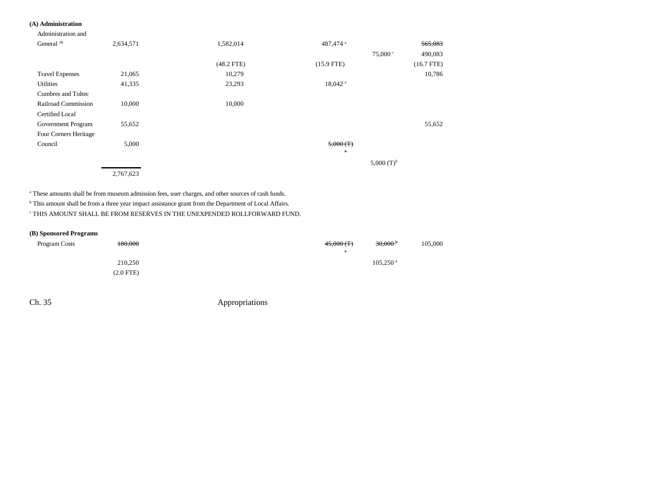### **(A) Administration**

### Administration and General  $3^8$  2,634,571 2003 1,582,014 565,083 487,474 a 565,083 75,000 <sup>c</sup> 490,083 (48.2 FTE) (15.9 FTE) (16.7 FTE) Travel Expenses 21,065 10,279 10,786 Utilities 23,293 18,042 and 1,335 23,293 18,042 and 1,335 23,293 18,042 and 2011 Cumbres and Toltec Railroad Commission 10,000 10,000 10,000 Certified Local Government Program 55,652 55,652 55,652 Four Corners Heritage  $\mu$  Council  $\mu$  5,000 5,000 5,000 5,000 5,000 5,000 5,000 5,000 5,000 5,000 5,000 5,000 5,000 5,000 5,000 5,000 5,000 5,000 5,000 5,000 5,000 5,000 5,000 5,000 5,000 5,000 5,000 5,000 5,000 5,000 5,000 5,000 5,000 5,000 b5,000 $(T)^{b}$ 2,767,623

<sup>a</sup> These amounts shall be from museum admission fees, user charges, and other sources of cash funds.

<sup>b</sup> This amount shall be from a three year impact assistance grant from the Department of Local Affairs.

 $^\mathrm{c}$  THIS AMOUNT SHALL BE FROM RESERVES IN THE UNEXPENDED ROLLFORWARD FUND.

#### **(B) Sponsored Programs**

| <b>Program Costs</b> | 180,000     | $30,000$ <sup>b</sup><br>$45,000$ (T) | 105,000 |
|----------------------|-------------|---------------------------------------|---------|
|                      |             |                                       |         |
|                      | 210,250     | $105,250$ <sup>a</sup>                |         |
|                      | $(2.0$ FTE) |                                       |         |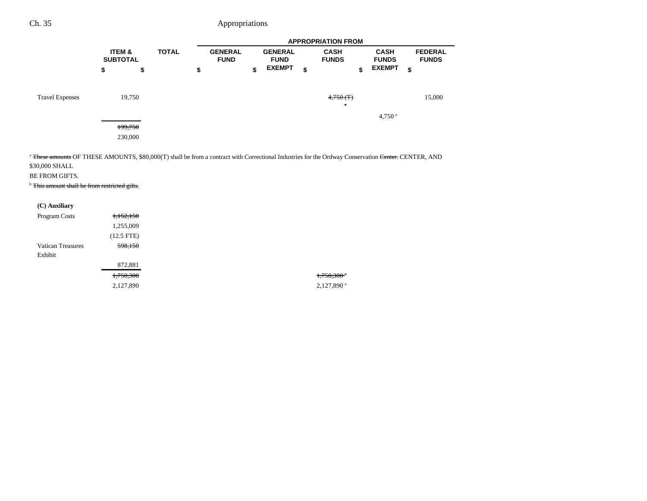|                        |    |                                      |  | <b>APPROPRIATION FROM</b> |  |    |               |    |                               |    |                               |    |                             |  |                             |  |                                |
|------------------------|----|--------------------------------------|--|---------------------------|--|----|---------------|----|-------------------------------|----|-------------------------------|----|-----------------------------|--|-----------------------------|--|--------------------------------|
|                        |    | <b>ITEM &amp;</b><br><b>SUBTOTAL</b> |  | <b>TOTAL</b>              |  |    |               |    | <b>GENERAL</b><br><b>FUND</b> |    | <b>GENERAL</b><br><b>FUND</b> |    | <b>CASH</b><br><b>FUNDS</b> |  | <b>CASH</b><br><b>FUNDS</b> |  | <b>FEDERAL</b><br><b>FUNDS</b> |
|                        | \$ | \$                                   |  | \$                        |  | \$ | <b>EXEMPT</b> | \$ |                               | \$ | <b>EXEMPT</b>                 | \$ |                             |  |                             |  |                                |
| <b>Travel Expenses</b> |    | 19,750                               |  |                           |  |    |               |    | 4,750(T)<br>$\alpha$          |    | $4,750$ <sup>a</sup>          |    | 15,000                      |  |                             |  |                                |
|                        |    | 199,750                              |  |                           |  |    |               |    |                               |    |                               |    |                             |  |                             |  |                                |
|                        |    | 230,000                              |  |                           |  |    |               |    |                               |    |                               |    |                             |  |                             |  |                                |

<sup>a</sup> These amounts OF THESE AMOUNTS, \$80,000(T) shall be from a contract with Correctional Industries for the Ordway Conservation <del>Center.</del> CENTER, AND \$30,000 SHALL

BE FROM GIFTS.

**b** This amount shall be from restricted gifts.

| 1,152,150    |
|--------------|
| 1,255,009    |
| $(12.5$ FTE) |
| 598,150      |
|              |
| 872,881      |
| 1,750,300    |
| 2,127,890    |
|              |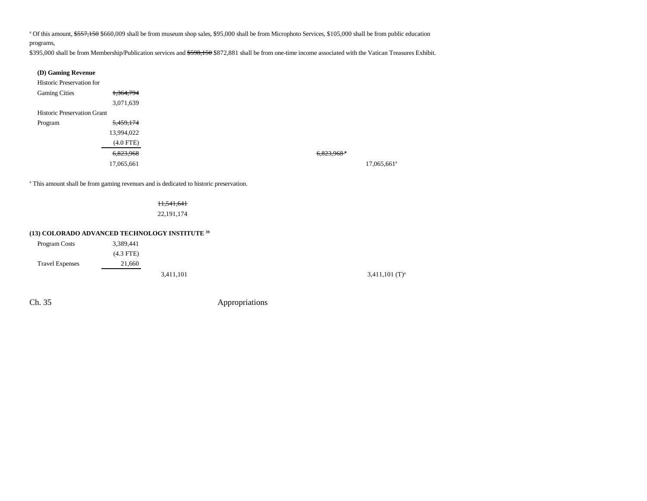<sup>a</sup> Of this amount, \$557,150 \$660,009 shall be from museum shop sales, \$95,000 shall be from Microphoto Services, \$105,000 shall be from public education programs,

\$395,000 shall be from Membership/Publication services and \$598,150 \$872,881 shall be from one-time income associated with the Vatican Treasures Exhibit.

| (D) Gaming Revenue                 |             |
|------------------------------------|-------------|
| <b>Historic Preservation for</b>   |             |
| <b>Gaming Cities</b>               | 1,364,794   |
|                                    | 3,071,639   |
| <b>Historic Preservation Grant</b> |             |
| Program                            | 5,459,174   |
|                                    | 13,994,022  |
|                                    | $(4.0$ FTE) |
|                                    | 6,823,968   |
|                                    | 17,065,661  |

a This amount shall be from gaming revenues and is dedicated to historic preservation.

11,541,641 22,191,174

#### **(13) COLORADO ADVANCED TECHNOLOGY INSTITUTE 39**

| Program Costs          | 3,389,441   |           |                              |
|------------------------|-------------|-----------|------------------------------|
|                        | $(4.3$ FTE) |           |                              |
| <b>Travel Expenses</b> | 21,660      |           |                              |
|                        |             | 3,411,101 | $3,411,101$ (T) <sup>a</sup> |